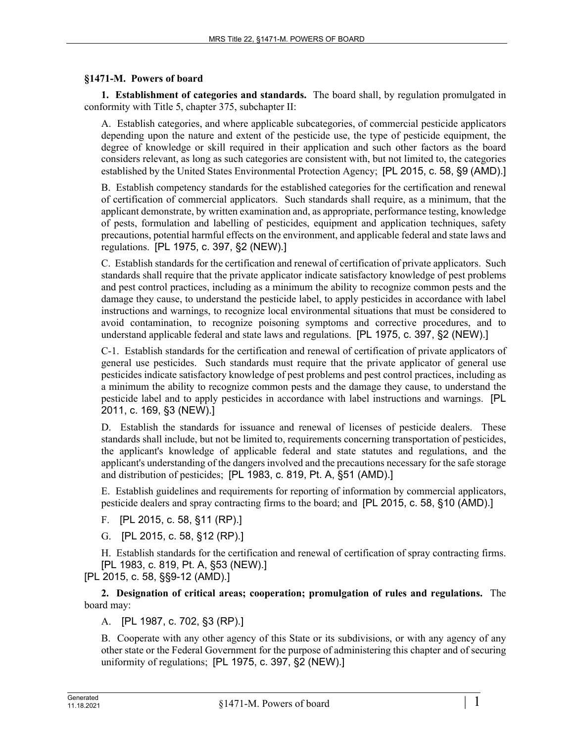## **§1471-M. Powers of board**

**1. Establishment of categories and standards.** The board shall, by regulation promulgated in conformity with Title 5, chapter 375, subchapter II:

A. Establish categories, and where applicable subcategories, of commercial pesticide applicators depending upon the nature and extent of the pesticide use, the type of pesticide equipment, the degree of knowledge or skill required in their application and such other factors as the board considers relevant, as long as such categories are consistent with, but not limited to, the categories established by the United States Environmental Protection Agency; [PL 2015, c. 58, §9 (AMD).]

B. Establish competency standards for the established categories for the certification and renewal of certification of commercial applicators. Such standards shall require, as a minimum, that the applicant demonstrate, by written examination and, as appropriate, performance testing, knowledge of pests, formulation and labelling of pesticides, equipment and application techniques, safety precautions, potential harmful effects on the environment, and applicable federal and state laws and regulations. [PL 1975, c. 397, §2 (NEW).]

C. Establish standards for the certification and renewal of certification of private applicators. Such standards shall require that the private applicator indicate satisfactory knowledge of pest problems and pest control practices, including as a minimum the ability to recognize common pests and the damage they cause, to understand the pesticide label, to apply pesticides in accordance with label instructions and warnings, to recognize local environmental situations that must be considered to avoid contamination, to recognize poisoning symptoms and corrective procedures, and to understand applicable federal and state laws and regulations. [PL 1975, c. 397, §2 (NEW).]

C-1. Establish standards for the certification and renewal of certification of private applicators of general use pesticides. Such standards must require that the private applicator of general use pesticides indicate satisfactory knowledge of pest problems and pest control practices, including as a minimum the ability to recognize common pests and the damage they cause, to understand the pesticide label and to apply pesticides in accordance with label instructions and warnings. [PL 2011, c. 169, §3 (NEW).]

D. Establish the standards for issuance and renewal of licenses of pesticide dealers. These standards shall include, but not be limited to, requirements concerning transportation of pesticides, the applicant's knowledge of applicable federal and state statutes and regulations, and the applicant's understanding of the dangers involved and the precautions necessary for the safe storage and distribution of pesticides; [PL 1983, c. 819, Pt. A, §51 (AMD).]

E. Establish guidelines and requirements for reporting of information by commercial applicators, pesticide dealers and spray contracting firms to the board; and [PL 2015, c. 58, §10 (AMD).]

F. [PL 2015, c. 58, §11 (RP).]

G. [PL 2015, c. 58, §12 (RP).]

H. Establish standards for the certification and renewal of certification of spray contracting firms. [PL 1983, c. 819, Pt. A, §53 (NEW).]

[PL 2015, c. 58, §§9-12 (AMD).]

**2. Designation of critical areas; cooperation; promulgation of rules and regulations.** The board may:

A. [PL 1987, c. 702, §3 (RP).]

B. Cooperate with any other agency of this State or its subdivisions, or with any agency of any other state or the Federal Government for the purpose of administering this chapter and of securing uniformity of regulations; [PL 1975, c. 397, §2 (NEW).]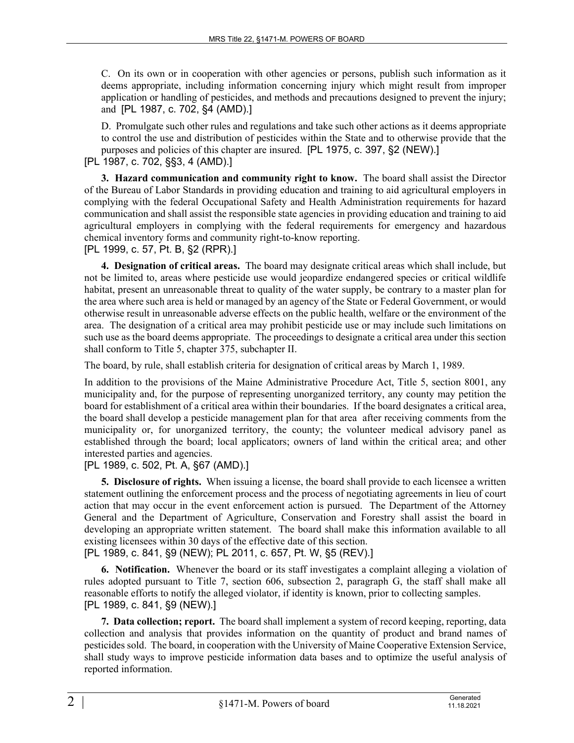C. On its own or in cooperation with other agencies or persons, publish such information as it deems appropriate, including information concerning injury which might result from improper application or handling of pesticides, and methods and precautions designed to prevent the injury; and [PL 1987, c. 702, §4 (AMD).]

D. Promulgate such other rules and regulations and take such other actions as it deems appropriate to control the use and distribution of pesticides within the State and to otherwise provide that the purposes and policies of this chapter are insured. [PL 1975, c. 397, §2 (NEW).] [PL 1987, c. 702, §§3, 4 (AMD).]

**3. Hazard communication and community right to know.** The board shall assist the Director of the Bureau of Labor Standards in providing education and training to aid agricultural employers in complying with the federal Occupational Safety and Health Administration requirements for hazard communication and shall assist the responsible state agencies in providing education and training to aid agricultural employers in complying with the federal requirements for emergency and hazardous chemical inventory forms and community right-to-know reporting. [PL 1999, c. 57, Pt. B, §2 (RPR).]

**4. Designation of critical areas.** The board may designate critical areas which shall include, but not be limited to, areas where pesticide use would jeopardize endangered species or critical wildlife habitat, present an unreasonable threat to quality of the water supply, be contrary to a master plan for the area where such area is held or managed by an agency of the State or Federal Government, or would otherwise result in unreasonable adverse effects on the public health, welfare or the environment of the area. The designation of a critical area may prohibit pesticide use or may include such limitations on such use as the board deems appropriate. The proceedings to designate a critical area under this section shall conform to Title 5, chapter 375, subchapter II.

The board, by rule, shall establish criteria for designation of critical areas by March 1, 1989.

In addition to the provisions of the Maine Administrative Procedure Act, Title 5, section 8001, any municipality and, for the purpose of representing unorganized territory, any county may petition the board for establishment of a critical area within their boundaries. If the board designates a critical area, the board shall develop a pesticide management plan for that area after receiving comments from the municipality or, for unorganized territory, the county; the volunteer medical advisory panel as established through the board; local applicators; owners of land within the critical area; and other interested parties and agencies.

[PL 1989, c. 502, Pt. A, §67 (AMD).]

**5. Disclosure of rights.** When issuing a license, the board shall provide to each licensee a written statement outlining the enforcement process and the process of negotiating agreements in lieu of court action that may occur in the event enforcement action is pursued. The Department of the Attorney General and the Department of Agriculture, Conservation and Forestry shall assist the board in developing an appropriate written statement. The board shall make this information available to all existing licensees within 30 days of the effective date of this section.

[PL 1989, c. 841, §9 (NEW); PL 2011, c. 657, Pt. W, §5 (REV).]

**6. Notification.** Whenever the board or its staff investigates a complaint alleging a violation of rules adopted pursuant to Title 7, section 606, subsection 2, paragraph G, the staff shall make all reasonable efforts to notify the alleged violator, if identity is known, prior to collecting samples. [PL 1989, c. 841, §9 (NEW).]

**7. Data collection; report.** The board shall implement a system of record keeping, reporting, data collection and analysis that provides information on the quantity of product and brand names of pesticides sold. The board, in cooperation with the University of Maine Cooperative Extension Service, shall study ways to improve pesticide information data bases and to optimize the useful analysis of reported information.